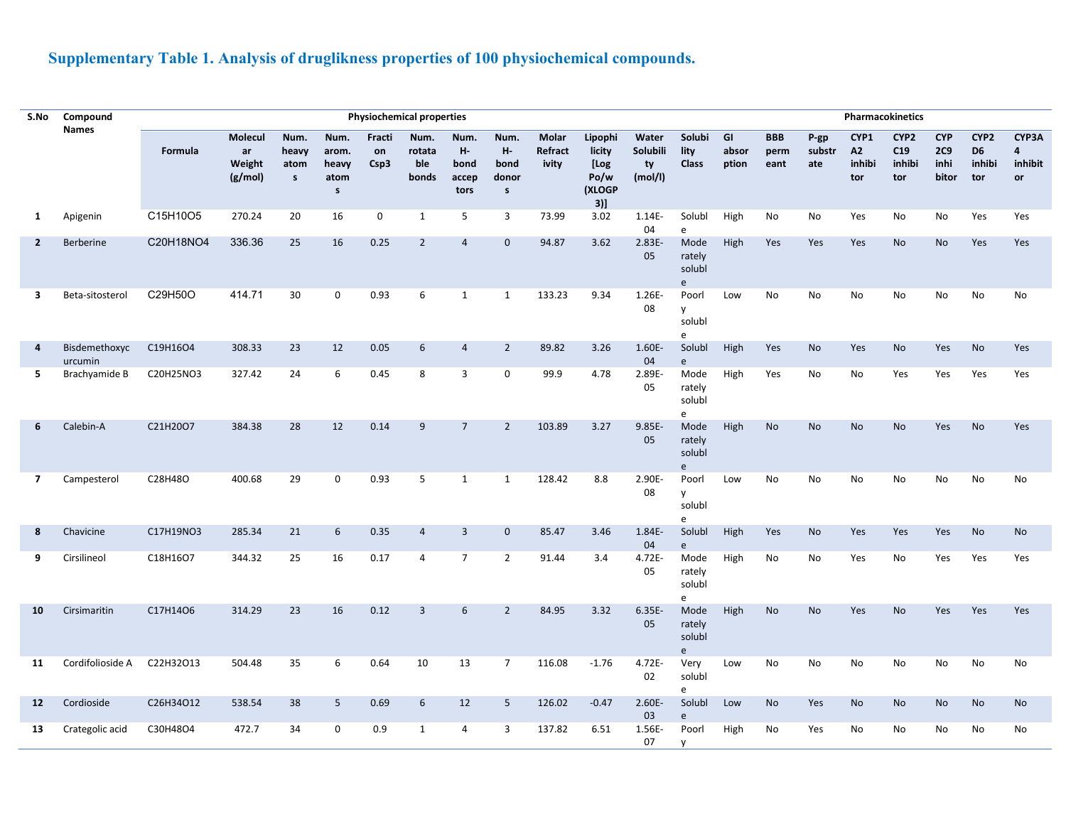## **Supplementary Table 1. Analysis of druglikness properties of 100 physiochemical compounds.**

| S.No           | Compound                 |           |                                    |                                       |                                                |                      | <b>Physiochemical properties</b> |                                     |                                             |                           | Pharmacokinetics                                      |                                    |                                      |                      |                            |                          |                             |                                          |                                    |                                         |                             |
|----------------|--------------------------|-----------|------------------------------------|---------------------------------------|------------------------------------------------|----------------------|----------------------------------|-------------------------------------|---------------------------------------------|---------------------------|-------------------------------------------------------|------------------------------------|--------------------------------------|----------------------|----------------------------|--------------------------|-----------------------------|------------------------------------------|------------------------------------|-----------------------------------------|-----------------------------|
|                | <b>Names</b>             | Formula   | Molecul<br>ar<br>Weight<br>(g/mol) | Num.<br>heavy<br>atom<br>$\mathsf{s}$ | Num.<br>arom.<br>heavy<br>atom<br>$\mathsf{s}$ | Fracti<br>on<br>Csp3 | Num.<br>rotata<br>ble<br>bonds   | Num.<br>н.<br>bond<br>accep<br>tors | Num.<br>н.<br>bond<br>donor<br>$\mathsf{s}$ | Molar<br>Refract<br>ivity | Lipophi<br>licity<br>[Log<br>Po/w<br>(XLOGP<br>$3)$ ] | Water<br>Solubili<br>ty<br>(mol/l) | Solubi<br>lity<br><b>Class</b>       | GI<br>absor<br>ption | <b>BBB</b><br>perm<br>eant | $P$ -gp<br>substr<br>ate | CYP1<br>A2<br>inhibi<br>tor | CYP <sub>2</sub><br>C19<br>inhibi<br>tor | <b>CYP</b><br>2C9<br>inhi<br>bitor | CYP2<br>D <sub>6</sub><br>inhibi<br>tor | CYP3A<br>4<br>inhibit<br>or |
| 1              | Apigenin                 | C15H10O5  | 270.24                             | 20                                    | 16                                             | $\mathbf 0$          | 1                                | 5                                   | $\overline{3}$                              | 73.99                     | 3.02                                                  | 1.14E-<br>04                       | Solubl<br>e                          | High                 | <b>No</b>                  | No                       | Yes                         | No                                       | No                                 | Yes                                     | Yes                         |
| $\mathbf{2}$   | Berberine                | C20H18NO4 | 336.36                             | 25                                    | 16                                             | 0.25                 | $\overline{2}$                   | $\overline{4}$                      | $\mathbf{0}$                                | 94.87                     | 3.62                                                  | 2.83E-<br>05                       | Mode<br>rately<br>solubl<br>e        | High                 | Yes                        | Yes                      | Yes                         | No                                       | <b>No</b>                          | Yes                                     | Yes                         |
| 3              | Beta-sitosterol          | C29H50O   | 414.71                             | 30                                    | 0                                              | 0.93                 | 6                                | $\mathbf{1}$                        | 1                                           | 133.23                    | 9.34                                                  | 1.26E-<br>08                       | Poorl<br>y<br>solubl<br>e            | Low                  | No                         | No                       | No                          | No                                       | No                                 | No                                      | No                          |
| 4              | Bisdemethoxyc<br>urcumin | C19H16O4  | 308.33                             | 23                                    | 12                                             | 0.05                 | 6                                | $\overline{4}$                      | $\overline{2}$                              | 89.82                     | 3.26                                                  | 1.60E-<br>04                       | Solubl<br>e                          | High                 | Yes                        | No                       | Yes                         | No                                       | Yes                                | No                                      | Yes                         |
| 5              | Brachyamide B            | C20H25NO3 | 327.42                             | 24                                    | 6                                              | 0.45                 | 8                                | 3                                   | $\mathbf 0$                                 | 99.9                      | 4.78                                                  | 2.89E-<br>05                       | Mode<br>rately<br>solubl<br>e        | High                 | Yes                        | No                       | No                          | Yes                                      | Yes                                | Yes                                     | Yes                         |
| 6              | Calebin-A                | C21H20O7  | 384.38                             | 28                                    | 12                                             | 0.14                 | 9                                | $\overline{7}$                      | $\overline{2}$                              | 103.89                    | 3.27                                                  | 9.85E-<br>05                       | Mode<br>rately<br>solubl<br>e        | High                 | <b>No</b>                  | <b>No</b>                | <b>No</b>                   | <b>No</b>                                | Yes                                | <b>No</b>                               | Yes                         |
| $\overline{7}$ | Campesterol              | C28H48O   | 400.68                             | 29                                    | 0                                              | 0.93                 | 5                                | $\mathbf{1}$                        | 1                                           | 128.42                    | 8.8                                                   | 2.90E-<br>08                       | Poorl<br>$\mathsf{V}$<br>solubl<br>e | Low                  | No                         | No                       | No                          | No                                       | No                                 | No                                      | No                          |
| 8              | Chavicine                | C17H19NO3 | 285.34                             | 21                                    | 6                                              | 0.35                 | $\overline{4}$                   | $\overline{3}$                      | $\mathbf{0}$                                | 85.47                     | 3.46                                                  | 1.84E-<br>04                       | Solubl<br>e                          | High                 | Yes                        | <b>No</b>                | <b>Yes</b>                  | Yes                                      | Yes                                | <b>No</b>                               | <b>No</b>                   |
| 9              | Cirsilineol              | C18H16O7  | 344.32                             | 25                                    | 16                                             | 0.17                 | $\overline{4}$                   | $7\overline{ }$                     | $\overline{2}$                              | 91.44                     | 3.4                                                   | 4.72E-<br>05                       | Mode<br>rately<br>solubl<br>e        | High                 | No                         | No                       | Yes                         | No                                       | Yes                                | Yes                                     | Yes                         |
| 10             | Cirsimaritin             | C17H14O6  | 314.29                             | 23                                    | 16                                             | 0.12                 | $\overline{3}$                   | 6                                   | $\overline{2}$                              | 84.95                     | 3.32                                                  | $6.35E -$<br>05                    | Mode<br>rately<br>solubl<br>e        | High                 | <b>No</b>                  | <b>No</b>                | Yes                         | <b>No</b>                                | Yes                                | Yes                                     | Yes                         |
| 11             | Cordifolioside A         | C22H32O13 | 504.48                             | 35                                    | 6                                              | 0.64                 | 10                               | 13                                  | $\overline{7}$                              | 116.08                    | $-1.76$                                               | 4.72E-<br>02                       | Very<br>solubl<br>e                  | Low                  | <b>No</b>                  | No                       | <b>No</b>                   | No                                       | <b>No</b>                          | No                                      | <b>No</b>                   |
| 12             | Cordioside               | C26H34O12 | 538.54                             | 38                                    | 5                                              | 0.69                 | 6                                | 12                                  | 5                                           | 126.02                    | $-0.47$                                               | 2.60E-<br>03                       | Solubl<br>e                          | Low                  | No                         | Yes                      | No                          | No                                       | <b>No</b>                          | No                                      | <b>No</b>                   |
| 13             | Crategolic acid          | C30H48O4  | 472.7                              | 34                                    | $\mathbf 0$                                    | 0.9                  | 1                                | 4                                   | 3                                           | 137.82                    | 6.51                                                  | 1.56E-<br>07                       | Poorl<br>y                           | High                 | No                         | Yes                      | No                          | No                                       | No                                 | No                                      | No                          |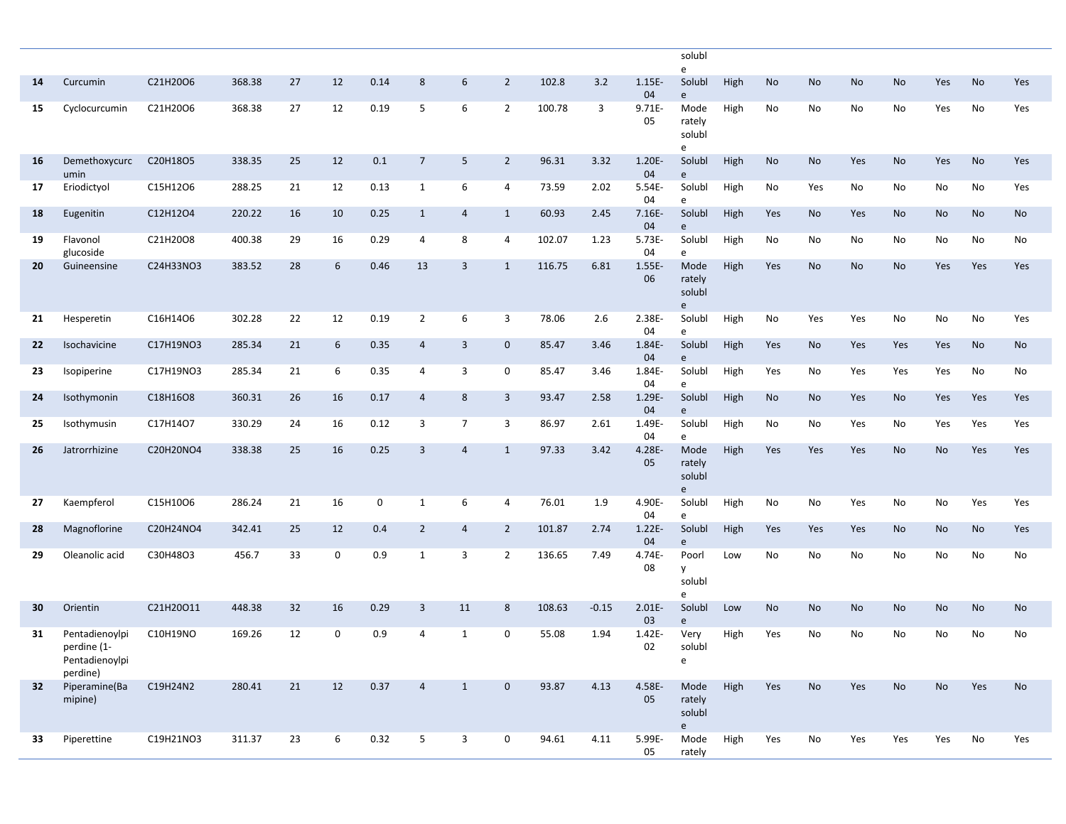|    |                                                             |           |        |    |             |      |                |                |                |        |         |                 | solubl<br>e                      |      |     |     |     |     |           |     |     |
|----|-------------------------------------------------------------|-----------|--------|----|-------------|------|----------------|----------------|----------------|--------|---------|-----------------|----------------------------------|------|-----|-----|-----|-----|-----------|-----|-----|
| 14 | Curcumin                                                    | C21H20O6  | 368.38 | 27 | 12          | 0.14 | 8              | 6              | $\overline{2}$ | 102.8  | 3.2     | $1.15E -$<br>04 | Solubl<br>e                      | High | No  | No  | No  | No  | Yes       | No  | Yes |
| 15 | Cyclocurcumin                                               | C21H20O6  | 368.38 | 27 | 12          | 0.19 | 5              | 6              | $\overline{2}$ | 100.78 | 3       | 9.71E-<br>05    | Mode<br>rately<br>solubl<br>e    | High | No  | No  | No  | No  | Yes       | No  | Yes |
| 16 | Demethoxycurc<br>umin                                       | C20H18O5  | 338.35 | 25 | 12          | 0.1  | $\overline{7}$ | 5              | $\overline{2}$ | 96.31  | 3.32    | 1.20E-<br>04    | Solubl<br>e                      | High | No  | No  | Yes | No  | Yes       | No  | Yes |
| 17 | Eriodictyol                                                 | C15H12O6  | 288.25 | 21 | 12          | 0.13 | $\mathbf{1}$   | 6              | 4              | 73.59  | 2.02    | 5.54E-<br>04    | Solubl<br>e                      | High | No  | Yes | No  | No  | No        | No  | Yes |
| 18 | Eugenitin                                                   | C12H12O4  | 220.22 | 16 | 10          | 0.25 | 1              | $\overline{4}$ | $\mathbf{1}$   | 60.93  | 2.45    | $7.16E -$<br>04 | Solubl<br>e                      | High | Yes | No  | Yes | No  | No        | No  | No  |
| 19 | Flavonol<br>glucoside                                       | C21H20O8  | 400.38 | 29 | 16          | 0.29 | 4              | 8              | 4              | 102.07 | 1.23    | 5.73E-<br>04    | Solubl<br>e                      | High | No  | No  | No  | No  | No        | No  | No  |
| 20 | Guineensine                                                 | C24H33NO3 | 383.52 | 28 | 6           | 0.46 | 13             | 3              | $\mathbf{1}$   | 116.75 | 6.81    | 1.55E-<br>06    | Mode<br>rately<br>solubl<br>e    | High | Yes | No  | No  | No  | Yes       | Yes | Yes |
| 21 | Hesperetin                                                  | C16H14O6  | 302.28 | 22 | 12          | 0.19 | $\overline{2}$ | 6              | 3              | 78.06  | 2.6     | 2.38E-<br>04    | Solubl<br>e                      | High | No  | Yes | Yes | No  | No        | No  | Yes |
| 22 | Isochavicine                                                | C17H19NO3 | 285.34 | 21 | 6           | 0.35 | $\overline{4}$ | 3              | $\mathbf 0$    | 85.47  | 3.46    | 1.84E-<br>04    | Solubl<br>e                      | High | Yes | No  | Yes | Yes | Yes       | No  | No  |
| 23 | Isopiperine                                                 | C17H19NO3 | 285.34 | 21 | 6           | 0.35 | 4              | 3              | 0              | 85.47  | 3.46    | 1.84E-<br>04    | Solubl<br>e                      | High | Yes | No  | Yes | Yes | Yes       | No  | No  |
| 24 | Isothymonin                                                 | C18H16O8  | 360.31 | 26 | 16          | 0.17 | $\overline{4}$ | 8              | 3              | 93.47  | 2.58    | 1.29E-<br>04    | Solubl<br>e                      | High | No  | No  | Yes | No  | Yes       | Yes | Yes |
| 25 | Isothymusin                                                 | C17H14O7  | 330.29 | 24 | 16          | 0.12 | 3              | $\overline{7}$ | 3              | 86.97  | 2.61    | 1.49E-<br>04    | Solubl<br>e                      | High | No  | No  | Yes | No  | Yes       | Yes | Yes |
| 26 | Jatrorrhizine                                               | C20H20NO4 | 338.38 | 25 | 16          | 0.25 | 3              | $\overline{4}$ | $\mathbf{1}$   | 97.33  | 3.42    | 4.28E-<br>05    | Mode<br>rately<br>solubl<br>e    | High | Yes | Yes | Yes | No  | <b>No</b> | Yes | Yes |
| 27 | Kaempferol                                                  | C15H10O6  | 286.24 | 21 | 16          | 0    | 1              | 6              | 4              | 76.01  | 1.9     | 4.90E-<br>04    | Solubl<br>e                      | High | No  | No  | Yes | No  | No        | Yes | Yes |
| 28 | Magnoflorine                                                | C20H24NO4 | 342.41 | 25 | 12          | 0.4  | $\overline{2}$ | $\overline{4}$ | $\overline{2}$ | 101.87 | 2.74    | $1.22E-$<br>04  | Solubl<br>e                      | High | Yes | Yes | Yes | No  | <b>No</b> | No  | Yes |
| 29 | Oleanolic acid                                              | C30H48O3  | 456.7  | 33 | 0           | 0.9  | $\mathbf{1}$   | 3              | $\overline{2}$ | 136.65 | 7.49    | 4.74E-<br>08    | Poorl<br><b>V</b><br>solubl<br>e | Low  | No  | No  | No  | No  | No        | No  | No  |
| 30 | Orientin                                                    | C21H20O11 | 448.38 | 32 | 16          | 0.29 | 3              | 11             | 8              | 108.63 | $-0.15$ | $2.01E -$<br>03 | Solubl<br>e                      | Low  | No  | No  | No  | No  | <b>No</b> | No  | No  |
| 31 | Pentadienoylpi<br>perdine (1-<br>Pentadienoylpi<br>perdine) | C10H19NO  | 169.26 | 12 | $\mathbf 0$ | 0.9  | $\overline{4}$ | 1              | $\mathbf 0$    | 55.08  | 1.94    | 1.42E-<br>02    | Very<br>solubl<br>$\mathsf{e}\,$ | High | Yes | No  | No  | No  | No        | No  | No  |
| 32 | Piperamine(Ba<br>mipine)                                    | C19H24N2  | 280.41 | 21 | 12          | 0.37 | $\overline{4}$ | $\mathbf{1}$   | $\mathbf 0$    | 93.87  | 4.13    | 4.58E-<br>05    | Mode<br>rately<br>solubl<br>e    | High | Yes | No  | Yes | No  | No        | Yes | No  |
| 33 | Piperettine                                                 | C19H21NO3 | 311.37 | 23 | 6           | 0.32 | 5              | 3              | 0              | 94.61  | 4.11    | 5.99E-<br>05    | Mode<br>rately                   | High | Yes | No  | Yes | Yes | Yes       | No  | Yes |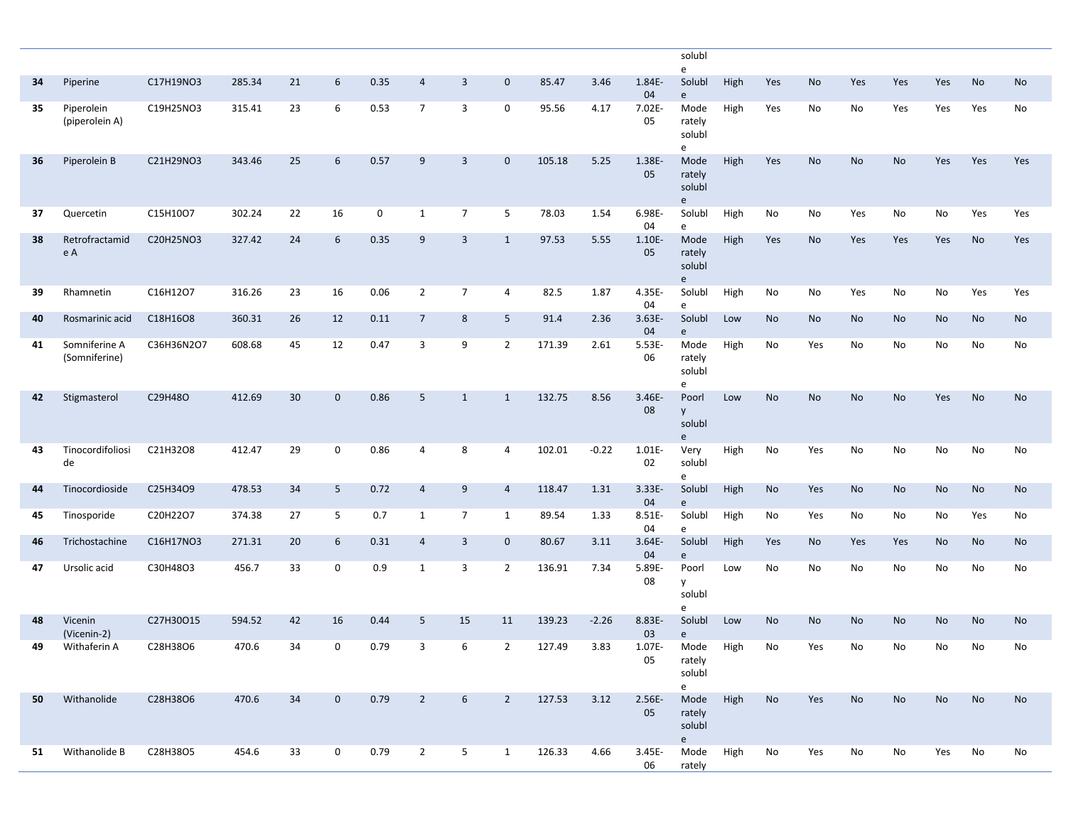|    |                                |            |        |                 |             |              |                |                |                         |        |         |                 | solubl<br>e                   |      |           |           |                              |           |     |     |           |
|----|--------------------------------|------------|--------|-----------------|-------------|--------------|----------------|----------------|-------------------------|--------|---------|-----------------|-------------------------------|------|-----------|-----------|------------------------------|-----------|-----|-----|-----------|
| 34 | Piperine                       | C17H19NO3  | 285.34 | 21              | 6           | 0.35         | $\overline{4}$ | $\overline{3}$ | $\mathbf 0$             | 85.47  | 3.46    | 1.84E-<br>04    | Solubl<br>e                   | High | Yes       | No        | Yes                          | Yes       | Yes | No  | <b>No</b> |
| 35 | Piperolein<br>(piperolein A)   | C19H25NO3  | 315.41 | 23              | 6           | 0.53         | $\overline{7}$ | 3              | $\mathsf{O}\phantom{0}$ | 95.56  | 4.17    | 7.02E-<br>05    | Mode<br>rately<br>solubl<br>e | High | Yes       | No        | No                           | Yes       | Yes | Yes | No        |
| 36 | Piperolein B                   | C21H29NO3  | 343.46 | 25              | 6           | 0.57         | 9              | $\overline{3}$ | $\mathbf 0$             | 105.18 | 5.25    | 1.38E-<br>05    | Mode<br>rately<br>solubl<br>e | High | Yes       | No        | No                           | <b>No</b> | Yes | Yes | Yes       |
| 37 | Quercetin                      | C15H10O7   | 302.24 | 22              | 16          | $\mathsf{O}$ | $\mathbf{1}$   | $\overline{7}$ | 5                       | 78.03  | 1.54    | 6.98E-<br>04    | Solubl<br>e                   | High | No        | No        | Yes                          | No        | No  | Yes | Yes       |
| 38 | Retrofractamid<br>e A          | C20H25NO3  | 327.42 | 24              | 6           | 0.35         | 9              | $\overline{3}$ | $\mathbf{1}$            | 97.53  | 5.55    | 1.10E-<br>05    | Mode<br>rately<br>solubl<br>e | High | Yes       | No        | Yes                          | Yes       | Yes | No  | Yes       |
| 39 | Rhamnetin                      | C16H12O7   | 316.26 | 23              | 16          | 0.06         | $\overline{2}$ | $\overline{7}$ | $\overline{4}$          | 82.5   | 1.87    | 4.35E-<br>04    | Solubl<br>e                   | High | No        | No        | Yes                          | No        | No  | Yes | Yes       |
| 40 | Rosmarinic acid                | C18H16O8   | 360.31 | 26              | 12          | 0.11         | $\overline{7}$ | 8              | 5                       | 91.4   | 2.36    | 3.63E-<br>04    | Solubl<br>e                   | Low  | <b>No</b> | No        | No                           | No        | No  | No  | No        |
| 41 | Somniferine A<br>(Somniferine) | C36H36N2O7 | 608.68 | 45              | 12          | 0.47         | 3              | 9              | $\overline{2}$          | 171.39 | 2.61    | 5.53E-<br>06    | Mode<br>rately<br>solubl<br>e | High | No        | Yes       | No                           | No        | No  | No  | No        |
| 42 | Stigmasterol                   | C29H48O    | 412.69 | 30 <sup>°</sup> | $\mathbf 0$ | 0.86         | 5              | $\mathbf{1}$   | $\mathbf{1}$            | 132.75 | 8.56    | 3.46E-<br>08    | Poorl<br>y<br>solubl<br>e     | Low  | <b>No</b> | <b>No</b> | No                           | <b>No</b> | Yes | No  | No        |
| 43 | Tinocordifoliosi<br>de         | C21H32O8   | 412.47 | 29              | $\mathbf 0$ | 0.86         | 4              | 8              | $\overline{4}$          | 102.01 | $-0.22$ | 1.01E-<br>02    | Very<br>solubl<br>e           | High | No        | Yes       | No                           | No        | No  | No  | No        |
| 44 | Tinocordioside                 | C25H34O9   | 478.53 | 34              | 5           | 0.72         | $\overline{4}$ | 9              | $\overline{4}$          | 118.47 | 1.31    | 3.33E-<br>04    | Solubl<br>e                   | High | No        | Yes       | No                           | No        | No  | No  | No        |
| 45 | Tinosporide                    | C20H22O7   | 374.38 | 27              | 5           | 0.7          | $\mathbf{1}$   | $\overline{7}$ | $\mathbf{1}$            | 89.54  | 1.33    | 8.51E-<br>04    | Solubl<br>e                   | High | No        | Yes       | No                           | No        | No  | Yes | No        |
| 46 | Trichostachine                 | C16H17NO3  | 271.31 | 20              | 6           | 0.31         | $\overline{4}$ | $\overline{3}$ | $\mathbf 0$             | 80.67  | 3.11    | $3.64E -$<br>04 | Solubl<br>e                   | High | Yes       | <b>No</b> | Yes                          | Yes       | No  | No  | No        |
| 47 | Ursolic acid                   | C30H48O3   | 456.7  | 33              | $\mathbf 0$ | 0.9          | 1              | 3              | $\overline{2}$          | 136.91 | 7.34    | 5.89E-<br>08    | Poorl<br>y<br>solubl<br>e     | Low  | No        | No        | No                           | No        | No  | No  | No        |
| 48 | Vicenin<br>(Vicenin-2)         | C27H30O15  | 594.52 | 42              | 16          | 0.44         | 5              | 15             | 11                      | 139.23 | $-2.26$ | 8.83E-<br>03    | Solubl<br>e                   | Low  | No        | <b>No</b> | No                           | No        | No  | No  | No        |
| 49 | Withaferin A                   | C28H38O6   | 470.6  | 34              | $\Omega$    | 0.79         | $\mathbf{R}$   | 6              | $\overline{2}$          | 127.49 | 3.83    | 1.07E-<br>05    | Mode<br>rately<br>solubl<br>e | High | No        | Yes       | $\operatorname{\mathsf{No}}$ | No        | No  | No  | No        |
| 50 | Withanolide                    | C28H38O6   | 470.6  | 34              | $\mathbf 0$ | 0.79         | $\overline{2}$ | 6              | $\overline{2}$          | 127.53 | 3.12    | 2.56E-<br>05    | Mode<br>rately<br>solubl<br>e | High | No        | Yes       | No                           | No        | No  | No  | No        |
| 51 | Withanolide B                  | C28H38O5   | 454.6  | 33              | 0           | 0.79         | $\overline{2}$ | 5              | $\mathbf{1}$            | 126.33 | 4.66    | 3.45E-<br>06    | Mode<br>rately                | High | No        | Yes       | No                           | No        | Yes | No  | No        |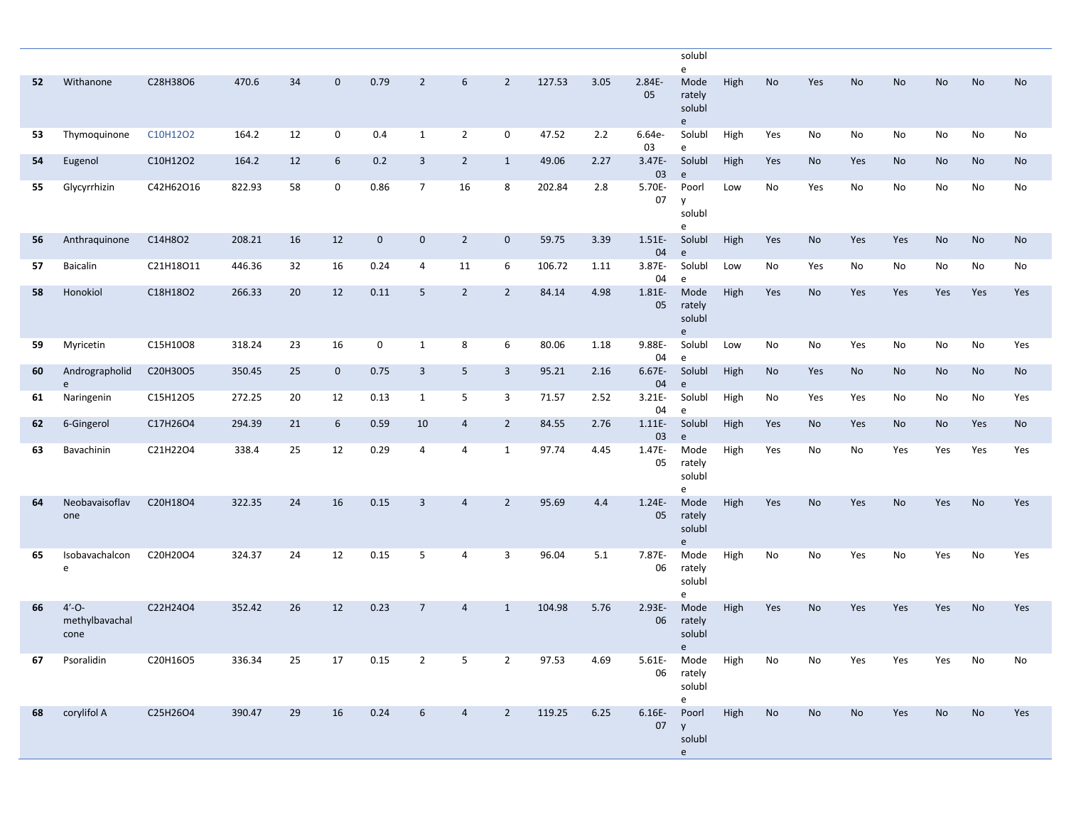|    |                                      |           |        |    |             |             |                |                 |                |        |      |                 | solubl<br>e                                                                 |      |           |           |           |           |           |     |     |
|----|--------------------------------------|-----------|--------|----|-------------|-------------|----------------|-----------------|----------------|--------|------|-----------------|-----------------------------------------------------------------------------|------|-----------|-----------|-----------|-----------|-----------|-----|-----|
| 52 | Withanone                            | C28H38O6  | 470.6  | 34 | $\mathbf 0$ | 0.79        | $\overline{2}$ | $6\overline{6}$ | $\overline{2}$ | 127.53 | 3.05 | 2.84E-<br>05    | Mode<br>rately<br>solubl<br>e                                               | High | No        | Yes       | <b>No</b> | No        | <b>No</b> | No  | No  |
| 53 | Thymoquinone                         | C10H12O2  | 164.2  | 12 | $\mathbf 0$ | 0.4         | $\mathbf{1}$   | $\overline{2}$  | $\mathbf 0$    | 47.52  | 2.2  | 6.64e-<br>03    | Solubl<br>e                                                                 | High | Yes       | No        | No        | No        | No        | No  | No  |
| 54 | Eugenol                              | C10H12O2  | 164.2  | 12 | 6           | 0.2         | 3              | $\overline{2}$  | $\mathbf{1}$   | 49.06  | 2.27 | 3.47E-<br>03    | Solubl<br>$\mathsf{e}$                                                      | High | Yes       | No        | Yes       | No        | No        | No  | No  |
| 55 | Glycyrrhizin                         | C42H62O16 | 822.93 | 58 | 0           | 0.86        | $\overline{7}$ | 16              | 8              | 202.84 | 2.8  | 5.70E-<br>07    | Poorl<br>y<br>solubl<br>e                                                   | Low  | No        | Yes       | No        | No        | No        | No  | No  |
| 56 | Anthraquinone                        | C14H8O2   | 208.21 | 16 | 12          | $\mathbf 0$ | $\mathbf 0$    | $\overline{2}$  | $\mathbf 0$    | 59.75  | 3.39 | $1.51E -$<br>04 | Solubl<br>$\mathsf{e}$                                                      | High | Yes       | No        | Yes       | Yes       | No        | No  | No  |
| 57 | Baicalin                             | C21H18O11 | 446.36 | 32 | 16          | 0.24        | 4              | 11              | 6              | 106.72 | 1.11 | 3.87E-<br>04    | Solubl                                                                      | Low  | No        | Yes       | No        | No        | No        | No  | No  |
| 58 | Honokiol                             | C18H18O2  | 266.33 | 20 | 12          | 0.11        | 5              | $\overline{2}$  | $\overline{2}$ | 84.14  | 4.98 | 1.81E-<br>05    | e<br>Mode<br>rately<br>solubl<br>$\mathsf{e}% _{t}\left( \mathsf{e}\right)$ | High | Yes       | No        | Yes       | Yes       | Yes       | Yes | Yes |
| 59 | Myricetin                            | C15H10O8  | 318.24 | 23 | 16          | 0           | $\mathbf{1}$   | 8               | 6              | 80.06  | 1.18 | 9.88E-<br>04    | Solubl<br>e                                                                 | Low  | No        | No        | Yes       | No        | No        | No  | Yes |
| 60 | Andrographolid<br>e                  | C20H30O5  | 350.45 | 25 | $\mathbf 0$ | 0.75        | 3              | 5 <sup>5</sup>  | 3              | 95.21  | 2.16 | 6.67E-<br>04    | Solubl<br>$\mathsf{e}$                                                      | High | <b>No</b> | Yes       | <b>No</b> | No        | No        | No  | No  |
| 61 | Naringenin                           | C15H12O5  | 272.25 | 20 | 12          | 0.13        | $\mathbf{1}$   | 5               | 3              | 71.57  | 2.52 | $3.21E -$<br>04 | Solubl<br>e                                                                 | High | No        | Yes       | Yes       | No        | No        | No  | Yes |
| 62 | 6-Gingerol                           | C17H26O4  | 294.39 | 21 | 6           | 0.59        | 10             | $\overline{4}$  | $\overline{2}$ | 84.55  | 2.76 | $1.11E-$<br>03  | Solubl<br>e                                                                 | High | Yes       | No        | Yes       | No        | No        | Yes | No  |
| 63 | Bavachinin                           | C21H22O4  | 338.4  | 25 | 12          | 0.29        | $\overline{4}$ | $\overline{4}$  | 1              | 97.74  | 4.45 | 1.47E-<br>05    | Mode<br>rately<br>solubl<br>e                                               | High | Yes       | No        | No        | Yes       | Yes       | Yes | Yes |
| 64 | Neobavaisoflav<br>one                | C20H18O4  | 322.35 | 24 | 16          | 0.15        | $\overline{3}$ | $\overline{4}$  | $\overline{2}$ | 95.69  | 4.4  | $1.24E -$<br>05 | Mode<br>rately<br>solubl<br>$\mathsf{e}% _{t}\left( \mathsf{e}\right)$      | High | Yes       | <b>No</b> | Yes       | <b>No</b> | Yes       | No  | Yes |
| 65 | Isobavachalcon<br>e                  | C20H20O4  | 324.37 | 24 | 12          | 0.15        | 5              | $\overline{4}$  | 3              | 96.04  | 5.1  | 7.87E-<br>06    | Mode<br>rately<br>solubl<br>e                                               | High | No        | No        | Yes       | No        | Yes       | No  | Yes |
| 66 | $4' - O -$<br>methylbavachal<br>cone | C22H24O4  | 352.42 | 26 | 12          | 0.23        | $\overline{7}$ | 4               | $\mathbf{1}$   | 104.98 | 5.76 | 2.93E-<br>06    | Mode<br>rately<br>solubl<br>e.                                              | High | Yes       | No        | Yes       | Yes       | Yes       | No  | Yes |
| 67 | Psoralidin                           | C20H16O5  | 336.34 | 25 | 17          | 0.15        |                |                 | $\overline{2}$ | 97.53  | 4.69 |                 | 5.61E- Mode<br>06 rately<br>solubl<br>e                                     | High | No        | No        | Yes       | Yes       | Yes       | No  | No  |
| 68 | corylifol A                          | C25H26O4  | 390.47 | 29 | 16          | 0.24        | 6              | 4               | $\overline{2}$ | 119.25 | 6.25 | 07 y            | 6.16E- Poorl<br>solubl<br>e                                                 | High | No        | No        | No        | Yes       | No        | No  | Yes |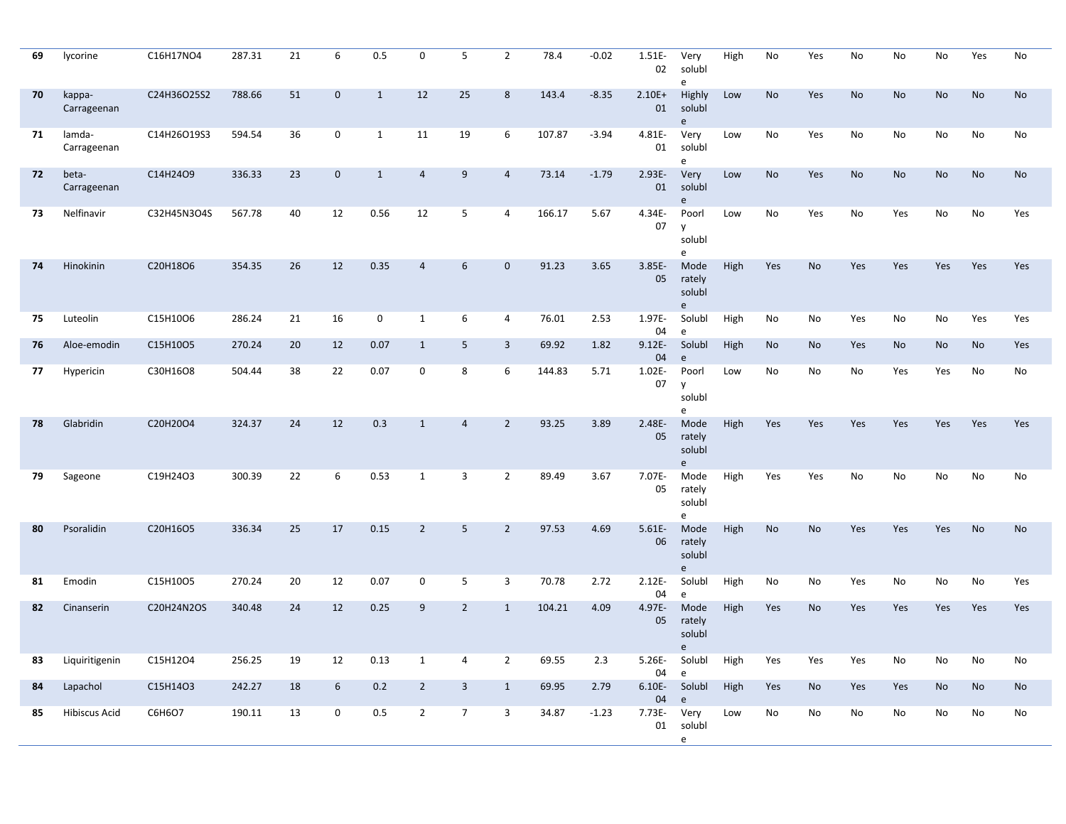| 69 | lycorine              | C16H17NO4   | 287.31 | 21 | 6           | 0.5          | 0              | 5               | $\overline{2}$ | 78.4   | $-0.02$ | 1.51E-<br>02    | Very<br>solubl<br>e                         | High | No        | Yes       | No  | No        | No        | Yes       | No        |
|----|-----------------------|-------------|--------|----|-------------|--------------|----------------|-----------------|----------------|--------|---------|-----------------|---------------------------------------------|------|-----------|-----------|-----|-----------|-----------|-----------|-----------|
| 70 | kappa-<br>Carrageenan | C24H36O25S2 | 788.66 | 51 | $\mathbf 0$ | $\mathbf{1}$ | 12             | 25              | 8              | 143.4  | $-8.35$ | $2.10E+$<br>01  | Highly<br>solubl<br>e                       | Low  | <b>No</b> | Yes       | No  | <b>No</b> | <b>No</b> | <b>No</b> | <b>No</b> |
| 71 | lamda-<br>Carrageenan | C14H26O19S3 | 594.54 | 36 | $\mathbf 0$ | $\mathbf{1}$ | 11             | 19              | 6              | 107.87 | $-3.94$ | 4.81E-<br>01    | Very<br>solubl<br>e                         | Low  | No        | Yes       | No  | No        | No        | No        | No        |
| 72 | beta-<br>Carrageenan  | C14H24O9    | 336.33 | 23 | $\mathbf 0$ | $\mathbf{1}$ | $\overline{4}$ | 9               | $\overline{4}$ | 73.14  | $-1.79$ | 2.93E-<br>01    | Very<br>solubl<br>e                         | Low  | <b>No</b> | Yes       | No  | <b>No</b> | <b>No</b> | <b>No</b> | No        |
| 73 | Nelfinavir            | C32H45N3O4S | 567.78 | 40 | 12          | 0.56         | 12             | 5               | 4              | 166.17 | 5.67    | 4.34E-<br>07    | Poorl<br>y<br>solubl<br>e                   | Low  | No        | Yes       | No  | Yes       | No        | No        | Yes       |
| 74 | Hinokinin             | C20H18O6    | 354.35 | 26 | 12          | 0.35         | 4              | 6               | $\mathbf{0}$   | 91.23  | 3.65    | $3.85E -$<br>05 | Mode<br>rately<br>solubl<br>e               | High | Yes       | <b>No</b> | Yes | Yes       | Yes       | Yes       | Yes       |
| 75 | Luteolin              | C15H10O6    | 286.24 | 21 | 16          | $\mathsf{O}$ | $\mathbf{1}$   | 6               | $\overline{4}$ | 76.01  | 2.53    | 1.97E-<br>04    | Solubl<br>e                                 | High | No        | No        | Yes | No        | No        | Yes       | Yes       |
| 76 | Aloe-emodin           | C15H10O5    | 270.24 | 20 | 12          | 0.07         | $\mathbf{1}$   | 5               | 3              | 69.92  | 1.82    | $9.12E -$<br>04 | Solubl<br>e                                 | High | No        | <b>No</b> | Yes | No        | <b>No</b> | <b>No</b> | Yes       |
| 77 | Hypericin             | C30H16O8    | 504.44 | 38 | 22          | 0.07         | 0              | 8               | 6              | 144.83 | 5.71    | 1.02E-<br>07    | Poorl<br>y<br>solubl<br>e                   | Low  | No        | No        | No  | Yes       | Yes       | No        | No        |
| 78 | Glabridin             | C20H20O4    | 324.37 | 24 | 12          | 0.3          | $\mathbf{1}$   | $\overline{4}$  | $\overline{2}$ | 93.25  | 3.89    | 2.48E-<br>05    | Mode<br>rately<br>solubl<br>e               | High | Yes       | Yes       | Yes | Yes       | Yes       | Yes       | Yes       |
| 79 | Sageone               | C19H24O3    | 300.39 | 22 | 6           | 0.53         | $\mathbf{1}$   | 3               | $\overline{2}$ | 89.49  | 3.67    | 7.07E-<br>05    | Mode<br>rately<br>solubl<br>e               | High | Yes       | Yes       | No  | No        | No        | No        | No        |
| 80 | Psoralidin            | C20H16O5    | 336.34 | 25 | 17          | 0.15         | $\overline{2}$ | 5               | $\overline{2}$ | 97.53  | 4.69    | $5.61E -$<br>06 | Mode<br>rately<br>solubl<br>e               | High | No        | <b>No</b> | Yes | Yes       | Yes       | <b>No</b> | <b>No</b> |
| 81 | Emodin                | C15H10O5    | 270.24 | 20 | 12          | 0.07         | 0              | 5               | 3              | 70.78  | 2.72    | $2.12E -$<br>04 | Solubl<br>e                                 | High | No        | No        | Yes | No        | No        | No        | Yes       |
| 82 | Cinanserin            | C20H24N2OS  | 340.48 | 24 | 12          | 0.25         | 9              | $\overline{2}$  | $\mathbf{1}$   | 104.21 | 4.09    | 4.97E-<br>05    | Mode<br>rately<br>solubl<br>$\rho$          | High | Yes       | No        | Yes | Yes       | Yes       | Yes       | Yes       |
| 83 | Liquiritigenin        | C15H12O4    | 256.25 | 19 | 12          | 0.13         | 1              |                 | $\overline{2}$ | 69.55  | 2.3     | 5.26E-<br>04    | Solubl<br>$\mathsf{e}% _{t}\left( t\right)$ | High | Yes       | Yes       | Yes | No        | No        | No        | No        |
| 84 | Lapachol              | C15H14O3    | 242.27 | 18 | 6           | 0.2          | $\overline{2}$ | $\mathbf{3}$    | $\mathbf{1}$   | 69.95  | 2.79    | $6.10E-$<br>04  | Solubl<br>e                                 | High | Yes       | No        | Yes | Yes       | No        | No        | No        |
| 85 | <b>Hibiscus Acid</b>  | C6H6O7      | 190.11 | 13 | 0           | $0.5\,$      | $\overline{2}$ | $7\overline{ }$ | 3              | 34.87  | $-1.23$ | 7.73E- Very     | 01 solubl<br>e                              | Low  | No        | No        | No  | No        | No        | No        | No        |